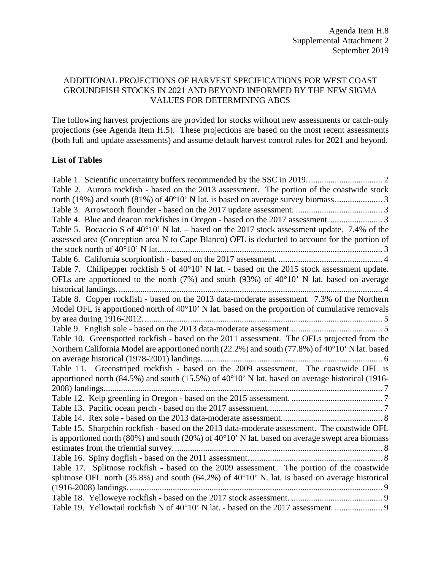## ADDITIONAL PROJECTIONS OF HARVEST SPECIFICATIONS FOR WEST COAST GROUNDFISH STOCKS IN 2021 AND BEYOND INFORMED BY THE NEW SIGMA VALUES FOR DETERMINING ABCS

The following harvest projections are provided for stocks without new assessments or catch-only projections (see Agenda Item H.5). These projections are based on the most recent assessments (both full and update assessments) and assume default harvest control rules for 2021 and beyond.

## **List of Tables**

| Table 2. Aurora rockfish - based on the 2013 assessment. The portion of the coastwide stock              |
|----------------------------------------------------------------------------------------------------------|
| north (19%) and south (81%) of 40°10' N lat. is based on average survey biomass                          |
|                                                                                                          |
|                                                                                                          |
| Table 5. Bocaccio S of 40°10' N lat. – based on the 2017 stock assessment update. 7.4% of the            |
| assessed area (Conception area N to Cape Blanco) OFL is deducted to account for the portion of           |
|                                                                                                          |
|                                                                                                          |
| Table 7. Chilipepper rockfish S of 40°10' N lat. - based on the 2015 stock assessment update.            |
| OFLs are apportioned to the north (7%) and south (93%) of $40^{\circ}10'$ N lat. based on average        |
|                                                                                                          |
| Table 8. Copper rockfish - based on the 2013 data-moderate assessment. 7.3% of the Northern              |
| Model OFL is apportioned north of $40^{\circ}10'$ N lat. based on the proportion of cumulative removals  |
|                                                                                                          |
|                                                                                                          |
| Table 10. Greenspotted rockfish - based on the 2011 assessment. The OFLs projected from the              |
| Northern California Model are apportioned north (22.2%) and south (77.8%) of 40°10' N lat. based         |
|                                                                                                          |
| Table 11. Greenstriped rockfish - based on the 2009 assessment. The coastwide OFL is                     |
| apportioned north (84.5%) and south (15.5%) of 40°10' N lat. based on average historical (1916-          |
|                                                                                                          |
|                                                                                                          |
|                                                                                                          |
|                                                                                                          |
| Table 15. Sharpchin rockfish - based on the 2013 data-moderate assessment. The coastwide OFL             |
| is apportioned north (80%) and south (20%) of $40^{\circ}10'$ N lat. based on average swept area biomass |
|                                                                                                          |
|                                                                                                          |
| Table 17. Splitnose rockfish - based on the 2009 assessment. The portion of the coastwide                |
| splitnose OFL north (35.8%) and south (64.2%) of $40^{\circ}10'$ N. lat. is based on average historical  |
|                                                                                                          |
|                                                                                                          |
| Table 19. Yellowtail rockfish N of 40°10' N lat. - based on the 2017 assessment.                         |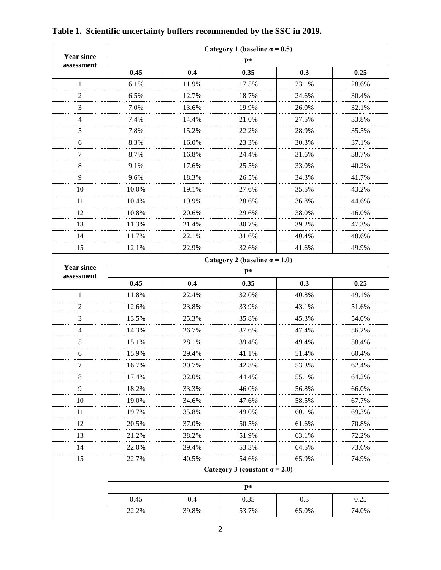|                                 | Category 1 (baseline $\sigma$ = 0.5) |         |       |       |       |  |  |  |  |
|---------------------------------|--------------------------------------|---------|-------|-------|-------|--|--|--|--|
| <b>Year since</b>               |                                      |         | $P*$  |       |       |  |  |  |  |
| assessment                      | 0.45                                 | 0.4     | 0.35  | 0.3   | 0.25  |  |  |  |  |
| $\mathbf{1}$                    | 6.1%                                 | 11.9%   | 17.5% | 23.1% | 28.6% |  |  |  |  |
| $\overline{2}$                  | 6.5%                                 | 12.7%   | 18.7% | 24.6% | 30.4% |  |  |  |  |
| 3                               | 7.0%                                 | 13.6%   | 19.9% | 26.0% | 32.1% |  |  |  |  |
| $\overline{4}$                  | 7.4%                                 | 14.4%   | 21.0% | 27.5% | 33.8% |  |  |  |  |
| 5                               | 7.8%                                 | 15.2%   | 22.2% | 28.9% | 35.5% |  |  |  |  |
| 6                               | 8.3%                                 | 16.0%   | 23.3% | 30.3% | 37.1% |  |  |  |  |
| $\tau$                          | 8.7%                                 | 16.8%   | 24.4% | 31.6% | 38.7% |  |  |  |  |
| 8                               | 9.1%                                 | 17.6%   | 25.5% | 33.0% | 40.2% |  |  |  |  |
| 9                               | 9.6%                                 | 18.3%   | 26.5% | 34.3% | 41.7% |  |  |  |  |
| 10                              | 10.0%                                | 19.1%   | 27.6% | 35.5% | 43.2% |  |  |  |  |
| 11                              | 10.4%                                | 19.9%   | 28.6% | 36.8% | 44.6% |  |  |  |  |
| 12                              | 10.8%                                | 20.6%   | 29.6% | 38.0% | 46.0% |  |  |  |  |
| 13                              | 11.3%                                | 21.4%   | 30.7% | 39.2% | 47.3% |  |  |  |  |
| 14                              | 11.7%                                | 22.1%   | 31.6% | 40.4% | 48.6% |  |  |  |  |
| 15                              | 12.1%                                | 22.9%   | 32.6% | 41.6% | 49.9% |  |  |  |  |
|                                 | Category 2 (baseline $\sigma$ = 1.0) |         |       |       |       |  |  |  |  |
| <b>Year since</b><br>assessment | $P*$                                 |         |       |       |       |  |  |  |  |
|                                 | 0.45                                 | 0.4     | 0.35  | 0.3   | 0.25  |  |  |  |  |
| $\mathbf{1}$                    | 11.8%                                | 22.4%   | 32.0% | 40.8% | 49.1% |  |  |  |  |
| $\overline{2}$                  | 12.6%                                | 23.8%   | 33.9% | 43.1% | 51.6% |  |  |  |  |
| 3                               | 13.5%                                | 25.3%   | 35.8% | 45.3% | 54.0% |  |  |  |  |
| $\overline{4}$                  | 14.3%                                | 26.7%   | 37.6% | 47.4% | 56.2% |  |  |  |  |
| 5                               | 15.1%                                | 28.1%   | 39.4% | 49.4% | 58.4% |  |  |  |  |
| 6                               | 15.9%                                | 29.4%   | 41.1% | 51.4% | 60.4% |  |  |  |  |
| 7                               | 16.7%                                | 30.7%   | 42.8% | 53.3% | 62.4% |  |  |  |  |
| 8                               | 17.4%                                | 32.0%   | 44.4% | 55.1% | 64.2% |  |  |  |  |
| 9                               | 18.2%                                | 33.3%   | 46.0% | 56.8% | 66.0% |  |  |  |  |
| 10                              | 19.0%                                | 34.6%   | 47.6% | 58.5% | 67.7% |  |  |  |  |
| 11                              | 19.7%                                | 35.8%   | 49.0% | 60.1% | 69.3% |  |  |  |  |
| 12                              | 20.5%                                | 37.0%   | 50.5% | 61.6% | 70.8% |  |  |  |  |
| 13                              | 21.2%                                | 38.2%   | 51.9% | 63.1% | 72.2% |  |  |  |  |
| 14                              | 22.0%                                | 39.4%   | 53.3% | 64.5% | 73.6% |  |  |  |  |
| 15                              | 22.7%                                | 40.5%   | 54.6% | 65.9% | 74.9% |  |  |  |  |
|                                 | Category 3 (constant $\sigma$ = 2.0) |         |       |       |       |  |  |  |  |
|                                 |                                      |         | $P^*$ |       |       |  |  |  |  |
|                                 | 0.45                                 | $0.4\,$ | 0.35  | 0.3   | 0.25  |  |  |  |  |
|                                 | 22.2%                                | 39.8%   | 53.7% | 65.0% | 74.0% |  |  |  |  |

<span id="page-1-0"></span>**Table 1. Scientific uncertainty buffers recommended by the SSC in 2019.**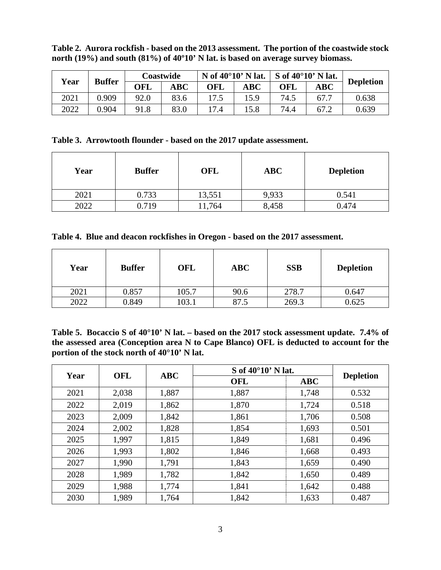<span id="page-2-0"></span>**Table 2. Aurora rockfish - based on the 2013 assessment. The portion of the coastwide stock north (19%) and south (81%) of 40º10' N lat. is based on average survey biomass.**

| Year | <b>Buffer</b> |      | N of $40^{\circ}10'$ N lat.<br>Coastwide |            |                                  | $\vert$ S of 40 $^{\circ}$ 10' N lat. | <b>Depletion</b> |       |
|------|---------------|------|------------------------------------------|------------|----------------------------------|---------------------------------------|------------------|-------|
|      |               | OFL  | $\bf ABC$                                | <b>OFL</b> | $\mathbf{A}\mathbf{B}\mathbf{C}$ | <b>OFL</b>                            | $\bf ABC$        |       |
| 2021 | 0.909         | 92.0 | 83.6                                     | 17.5       | 15.9                             | 74.5                                  | 67.7             | 0.638 |
| 2022 | 0.904         | 91.8 | 83.0                                     | 17.4       | 15.8                             | 74.4                                  | 67.2             | 0.639 |

## <span id="page-2-1"></span>**Table 3. Arrowtooth flounder - based on the 2017 update assessment.**

| Year | <b>Buffer</b> | OFL    | ABC   | <b>Depletion</b> |  |
|------|---------------|--------|-------|------------------|--|
| 2021 | 0.733         | 13,551 | 9,933 | 0.541            |  |
| 2022 | 0.719         | 11,764 | 8,458 | 0.474            |  |

<span id="page-2-2"></span>**Table 4. Blue and deacon rockfishes in Oregon - based on the 2017 assessment.**

| Year | <b>Buffer</b> | OFL   | <b>ABC</b> | <b>SSB</b> | <b>Depletion</b> |
|------|---------------|-------|------------|------------|------------------|
| 2021 | 0.857         | 105.7 | 90.6       | 278.7      | 0.647            |
| 2022 | 0.849         | 103.1 | 87.5       | 269.3      | 0.625            |

<span id="page-2-3"></span>**Table 5. Bocaccio S of 40°10' N lat. – based on the 2017 stock assessment update. 7.4% of the assessed area (Conception area N to Cape Blanco) OFL is deducted to account for the portion of the stock north of 40°10' N lat.**

| Year | <b>OFL</b> | <b>ABC</b> |            | S of $40^{\circ}10'$ N lat. |                  |  |  |
|------|------------|------------|------------|-----------------------------|------------------|--|--|
|      |            |            | <b>OFL</b> | <b>ABC</b>                  | <b>Depletion</b> |  |  |
| 2021 | 2,038      | 1,887      | 1,887      | 1,748                       | 0.532            |  |  |
| 2022 | 2,019      | 1,862      | 1,870      | 1,724                       | 0.518            |  |  |
| 2023 | 2,009      | 1,842      | 1,861      | 1,706                       | 0.508            |  |  |
| 2024 | 2,002      | 1,828      | 1,854      | 1,693                       | 0.501            |  |  |
| 2025 | 1,997      | 1,815      | 1,849      | 1,681                       | 0.496            |  |  |
| 2026 | 1,993      | 1,802      | 1,846      | 1,668                       | 0.493            |  |  |
| 2027 | 1,990      | 1,791      | 1,843      | 1,659                       | 0.490            |  |  |
| 2028 | 1,989      | 1,782      | 1,842      | 1,650                       | 0.489            |  |  |
| 2029 | 1,988      | 1,774      | 1,841      | 1,642                       | 0.488            |  |  |
| 2030 | 1,989      | 1,764      | 1,842      | 1,633                       | 0.487            |  |  |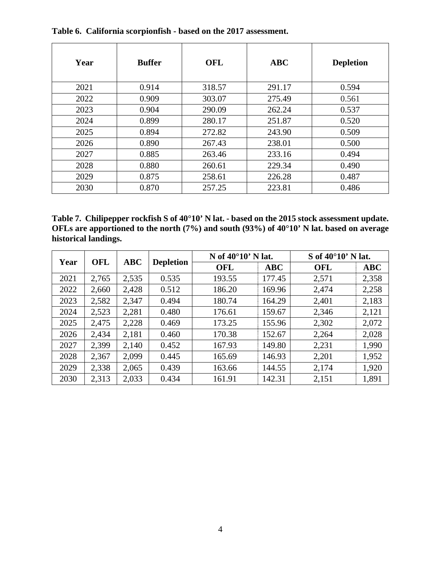| Year | <b>Buffer</b> | <b>OFL</b> | <b>ABC</b> | <b>Depletion</b> |
|------|---------------|------------|------------|------------------|
| 2021 | 0.914         | 318.57     | 291.17     | 0.594            |
| 2022 | 0.909         | 303.07     | 275.49     | 0.561            |
| 2023 | 0.904         | 290.09     | 262.24     | 0.537            |
| 2024 | 0.899         | 280.17     | 251.87     | 0.520            |
| 2025 | 0.894         | 272.82     | 243.90     | 0.509            |
| 2026 | 0.890         | 267.43     | 238.01     | 0.500            |
| 2027 | 0.885         | 263.46     | 233.16     | 0.494            |
| 2028 | 0.880         | 260.61     | 229.34     | 0.490            |
| 2029 | 0.875         | 258.61     | 226.28     | 0.487            |
| 2030 | 0.870         | 257.25     | 223.81     | 0.486            |

<span id="page-3-0"></span>**Table 6. California scorpionfish - based on the 2017 assessment.**

<span id="page-3-1"></span>

| Table 7. Chilipepper rockfish S of 40°10' N lat. - based on the 2015 stock assessment update.           |
|---------------------------------------------------------------------------------------------------------|
| OFLs are apportioned to the north $(7\%)$ and south $(93\%)$ of $40^{\circ}10'$ N lat. based on average |
| historical landings.                                                                                    |

| Year | <b>OFL</b> | <b>ABC</b> |                  | N of $40^{\circ}10'$ N lat. |            | S of $40^{\circ}10'$ N lat. |            |
|------|------------|------------|------------------|-----------------------------|------------|-----------------------------|------------|
|      |            |            | <b>Depletion</b> | <b>OFL</b>                  | <b>ABC</b> | <b>OFL</b>                  | <b>ABC</b> |
| 2021 | 2,765      | 2,535      | 0.535            | 193.55                      | 177.45     | 2,571                       | 2,358      |
| 2022 | 2,660      | 2,428      | 0.512            | 186.20                      | 169.96     | 2,474                       | 2,258      |
| 2023 | 2,582      | 2,347      | 0.494            | 180.74                      | 164.29     | 2,401                       | 2,183      |
| 2024 | 2,523      | 2,281      | 0.480            | 176.61                      | 159.67     | 2,346                       | 2,121      |
| 2025 | 2,475      | 2,228      | 0.469            | 173.25                      | 155.96     | 2,302                       | 2,072      |
| 2026 | 2,434      | 2,181      | 0.460            | 170.38                      | 152.67     | 2,264                       | 2,028      |
| 2027 | 2,399      | 2,140      | 0.452            | 167.93                      | 149.80     | 2,231                       | 1,990      |
| 2028 | 2,367      | 2,099      | 0.445            | 165.69                      | 146.93     | 2,201                       | 1,952      |
| 2029 | 2,338      | 2,065      | 0.439            | 163.66                      | 144.55     | 2,174                       | 1,920      |
| 2030 | 2,313      | 2,033      | 0.434            | 161.91                      | 142.31     | 2,151                       | 1,891      |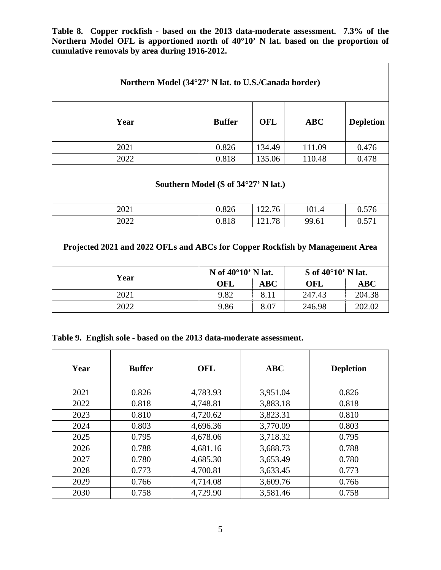<span id="page-4-0"></span>**Table 8. Copper rockfish - based on the 2013 data-moderate assessment. 7.3% of the Northern Model OFL is apportioned north of 40°10' N lat. based on the proportion of cumulative removals by area during 1916-2012.**

 $\blacksquare$ 

 $\overline{\phantom{a}}$ 

| Northern Model (34°27' N lat. to U.S./Canada border)                         |                                              |            |                             |                  |  |  |  |  |  |
|------------------------------------------------------------------------------|----------------------------------------------|------------|-----------------------------|------------------|--|--|--|--|--|
| Year                                                                         | <b>Buffer</b>                                | <b>OFL</b> | <b>ABC</b>                  | <b>Depletion</b> |  |  |  |  |  |
| 2021                                                                         | 0.826                                        | 134.49     | 111.09                      | 0.476            |  |  |  |  |  |
| 2022                                                                         | 0.818                                        | 135.06     | 110.48                      | 0.478            |  |  |  |  |  |
| 2021                                                                         | Southern Model (S of 34°27' N lat.)<br>0.826 | 122.76     | 101.4                       | 0.576            |  |  |  |  |  |
| 2022                                                                         | 0.818                                        | 121.78     | 99.61                       | 0.571            |  |  |  |  |  |
| Projected 2021 and 2022 OFLs and ABCs for Copper Rockfish by Management Area |                                              |            |                             |                  |  |  |  |  |  |
| Year                                                                         | N of $40^{\circ}10'$ N lat.                  |            | S of $40^{\circ}10'$ N lat. |                  |  |  |  |  |  |
|                                                                              | OFL                                          | <b>ABC</b> | <b>OFL</b>                  | <b>ABC</b>       |  |  |  |  |  |
| 2021                                                                         | 9.82                                         | 8.11       | 247.43                      | 204.38           |  |  |  |  |  |
| 2022                                                                         | 9.86                                         | 8.07       | 246.98                      | 202.02           |  |  |  |  |  |

<span id="page-4-1"></span>**Table 9. English sole - based on the 2013 data-moderate assessment.**

| Year | <b>Buffer</b> | <b>OFL</b> | <b>ABC</b> | <b>Depletion</b> |
|------|---------------|------------|------------|------------------|
| 2021 | 0.826         | 4,783.93   | 3,951.04   | 0.826            |
| 2022 | 0.818         | 4,748.81   | 3,883.18   | 0.818            |
| 2023 | 0.810         | 4,720.62   | 3,823.31   | 0.810            |
| 2024 | 0.803         | 4,696.36   | 3,770.09   | 0.803            |
| 2025 | 0.795         | 4,678.06   | 3,718.32   | 0.795            |
| 2026 | 0.788         | 4,681.16   | 3,688.73   | 0.788            |
| 2027 | 0.780         | 4,685.30   | 3,653.49   | 0.780            |
| 2028 | 0.773         | 4,700.81   | 3,633.45   | 0.773            |
| 2029 | 0.766         | 4,714.08   | 3,609.76   | 0.766            |
| 2030 | 0.758         | 4,729.90   | 3,581.46   | 0.758            |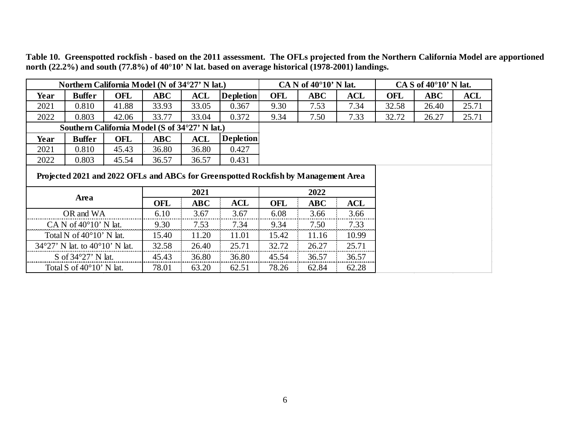**Table 10. Greenspotted rockfish - based on the 2011 assessment. The OFLs projected from the Northern California Model are apportioned north (22.2%) and south (77.8%) of 40°10' N lat. based on average historical (1978-2001) landings.**

<span id="page-5-0"></span>

| Northern California Model (N of 34°27' N lat.) |                                                  |       |           | CA N of $40^{\circ}10'$ N lat. |                                                                                    |            | CA S of 40°10' N lat. |            |       |       |            |
|------------------------------------------------|--------------------------------------------------|-------|-----------|--------------------------------|------------------------------------------------------------------------------------|------------|-----------------------|------------|-------|-------|------------|
| Year                                           | <b>Buffer</b>                                    | OFL   | ABC       | <b>ACL</b>                     | <b>Depletion</b>                                                                   | <b>OFL</b> | <b>ABC</b>            | <b>ACL</b> | OFL   | ABC   | <b>ACL</b> |
| 2021                                           | 0.810                                            | 41.88 | 33.93     | 33.05                          | 0.367                                                                              | 9.30       | 7.53                  | 7.34       | 32.58 | 26.40 | 25.71      |
| 2022                                           | 0.803                                            | 42.06 | 33.77     | 33.04                          | 0.372                                                                              | 9.34       | 7.50                  | 7.33       | 32.72 | 26.27 | 25.71      |
|                                                | Southern California Model (S of 34°27' N lat.)   |       |           |                                |                                                                                    |            |                       |            |       |       |            |
| Year                                           | <b>Buffer</b>                                    | OFL   | $\bf ABC$ | <b>ACL</b>                     | <b>Depletion</b>                                                                   |            |                       |            |       |       |            |
| 2021                                           | 0.810                                            | 45.43 | 36.80     | 36.80                          | 0.427                                                                              |            |                       |            |       |       |            |
| 2022                                           | 0.803                                            | 45.54 | 36.57     | 36.57                          | 0.431                                                                              |            |                       |            |       |       |            |
|                                                |                                                  |       |           |                                | Projected 2021 and 2022 OFLs and ABCs for Greenspotted Rockfish by Management Area |            |                       |            |       |       |            |
|                                                |                                                  |       |           | 2021                           |                                                                                    |            | 2022                  |            |       |       |            |
|                                                | Area                                             |       | OFL       | <b>ABC</b>                     | <b>ACL</b>                                                                         | OFL        | ABC                   | ACL        |       |       |            |
|                                                | OR and WA                                        |       | 6.10      | 3.67                           | 3.67                                                                               | 6.08       | 3.66                  | 3.66       |       |       |            |
|                                                | CA N of $40^{\circ}10'$ N lat.                   |       | 9.30      | 7.53                           | 7.34                                                                               | 9.34       | 7.50                  | 7.33       |       |       |            |
|                                                | Total N of $40^{\circ}10'$ N lat.                |       | 15.40     | 11.20                          | 11.01                                                                              | 15.42      | 11.16                 | 10.99      |       |       |            |
|                                                | $34^{\circ}27'$ N lat. to $40^{\circ}10'$ N lat. |       | 32.58     | 26.40                          | 25.71                                                                              | 32.72      | 26.27                 | 25.71      |       |       |            |
|                                                | S of $34^{\circ}27'$ N lat.                      |       | 45.43     | 36.80                          | 36.80                                                                              | 45.54      | 36.57                 | 36.57      |       |       |            |
|                                                | Total S of $40^{\circ}10'$ N lat.                |       | 78.01     | 63.20                          | 62.51                                                                              | 78.26      | 62.84                 | 62.28      |       |       |            |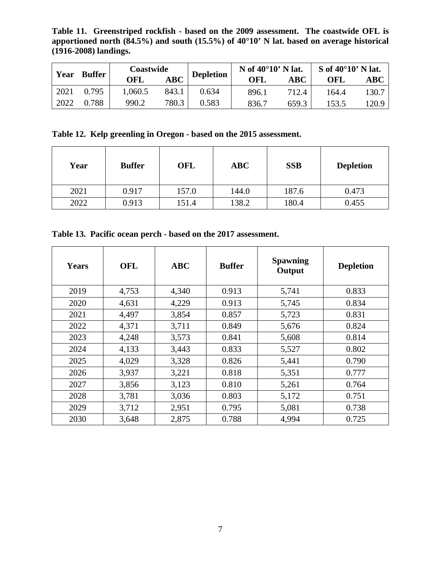<span id="page-6-0"></span>**Table 11. Greenstriped rockfish - based on the 2009 assessment. The coastwide OFL is apportioned north (84.5%) and south (15.5%) of 40°10' N lat. based on average historical (1916-2008) landings.**

|      | <b>Buffer</b> | Coastwide |            |                  | N of $40^{\circ}10'$ N lat. |       | S of $40^{\circ}10'$ N lat. |       |
|------|---------------|-----------|------------|------------------|-----------------------------|-------|-----------------------------|-------|
| Year |               | OFL       | <b>ABC</b> | <b>Depletion</b> | OFL                         | ABC   | OFL                         | ABC   |
| 2021 | 0.795         | 1,060.5   | 843.1      | 0.634            | 896.1                       | 712.4 | 164.4                       | 130.7 |
| 2022 | 0.788         | 990.2     | 780.3      | 0.583            | 836.7                       | 659.3 | 153.5                       | 120.9 |

<span id="page-6-1"></span>**Table 12. Kelp greenling in Oregon - based on the 2015 assessment.**

| Year | <b>Buffer</b> | OFL   | <b>ABC</b> | <b>SSB</b> | <b>Depletion</b> |
|------|---------------|-------|------------|------------|------------------|
| 2021 | 0.917         | 157.0 | 144.0      | 187.6      | 0.473            |
| 2022 | 0.913         | 151.4 | 138.2      | 180.4      | 0.455            |

<span id="page-6-2"></span>**Table 13. Pacific ocean perch - based on the 2017 assessment.**

| <b>Years</b> | <b>OFL</b> | <b>ABC</b> | <b>Buffer</b> | <b>Spawning</b><br>Output | <b>Depletion</b> |
|--------------|------------|------------|---------------|---------------------------|------------------|
| 2019         | 4,753      | 4,340      | 0.913         | 5,741                     | 0.833            |
| 2020         | 4,631      | 4,229      | 0.913         | 5,745                     | 0.834            |
| 2021         | 4,497      | 3,854      | 0.857         | 5,723                     | 0.831            |
| 2022         | 4,371      | 3,711      | 0.849         | 5,676                     | 0.824            |
| 2023         | 4,248      | 3,573      | 0.841         | 5,608                     | 0.814            |
| 2024         | 4,133      | 3,443      | 0.833         | 5,527                     | 0.802            |
| 2025         | 4,029      | 3,328      | 0.826         | 5,441                     | 0.790            |
| 2026         | 3,937      | 3,221      | 0.818         | 5,351                     | 0.777            |
| 2027         | 3,856      | 3,123      | 0.810         | 5,261                     | 0.764            |
| 2028         | 3,781      | 3,036      | 0.803         | 5,172                     | 0.751            |
| 2029         | 3,712      | 2,951      | 0.795         | 5,081                     | 0.738            |
| 2030         | 3,648      | 2,875      | 0.788         | 4,994                     | 0.725            |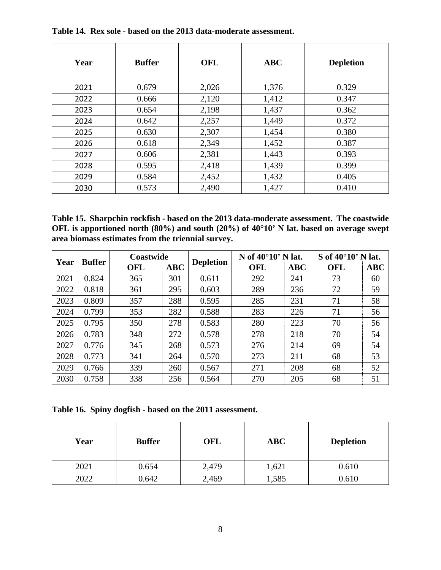| Year | <b>Buffer</b> | <b>OFL</b> | <b>ABC</b> | <b>Depletion</b> |
|------|---------------|------------|------------|------------------|
| 2021 | 0.679         | 2,026      | 1,376      | 0.329            |
| 2022 | 0.666         | 2,120      | 1,412      | 0.347            |
| 2023 | 0.654         | 2,198      | 1,437      | 0.362            |
| 2024 | 0.642         | 2,257      | 1,449      | 0.372            |
| 2025 | 0.630         | 2,307      | 1,454      | 0.380            |
| 2026 | 0.618         | 2,349      | 1,452      | 0.387            |
| 2027 | 0.606         | 2,381      | 1,443      | 0.393            |
| 2028 | 0.595         | 2,418      | 1,439      | 0.399            |
| 2029 | 0.584         | 2,452      | 1,432      | 0.405            |
| 2030 | 0.573         | 2,490      | 1,427      | 0.410            |

<span id="page-7-0"></span>**Table 14. Rex sole - based on the 2013 data-moderate assessment.**

<span id="page-7-1"></span>**Table 15. Sharpchin rockfish - based on the 2013 data-moderate assessment. The coastwide OFL is apportioned north (80%) and south (20%) of 40°10' N lat. based on average swept area biomass estimates from the triennial survey.**

| Year | <b>Buffer</b> | Coastwide  |            |                  | N of $40^{\circ}10'$ N lat. |     | S of $40^{\circ}10'$ N lat. |            |
|------|---------------|------------|------------|------------------|-----------------------------|-----|-----------------------------|------------|
|      |               | <b>OFL</b> | <b>ABC</b> | <b>Depletion</b> | <b>OFL</b>                  | ABC | <b>OFL</b>                  | <b>ABC</b> |
| 2021 | 0.824         | 365        | 301        | 0.611            | 292                         | 241 | 73                          | 60         |
| 2022 | 0.818         | 361        | 295        | 0.603            | 289                         | 236 | 72                          | 59         |
| 2023 | 0.809         | 357        | 288        | 0.595            | 285                         | 231 | 71                          | 58         |
| 2024 | 0.799         | 353        | 282        | 0.588            | 283                         | 226 | 71                          | 56         |
| 2025 | 0.795         | 350        | 278        | 0.583            | 280                         | 223 | 70                          | 56         |
| 2026 | 0.783         | 348        | 272        | 0.578            | 278                         | 218 | 70                          | 54         |
| 2027 | 0.776         | 345        | 268        | 0.573            | 276                         | 214 | 69                          | 54         |
| 2028 | 0.773         | 341        | 264        | 0.570            | 273                         | 211 | 68                          | 53         |
| 2029 | 0.766         | 339        | 260        | 0.567            | 271                         | 208 | 68                          | 52         |
| 2030 | 0.758         | 338        | 256        | 0.564            | 270                         | 205 | 68                          | 51         |

<span id="page-7-2"></span>**Table 16. Spiny dogfish - based on the 2011 assessment.**

| Year | <b>Buffer</b> | OFL   | <b>ABC</b> | <b>Depletion</b> |
|------|---------------|-------|------------|------------------|
| 2021 | 0.654         | 2,479 | 1,621      | 0.610            |
| 2022 | 0.642         | 2,469 | 1,585      | 0.610            |